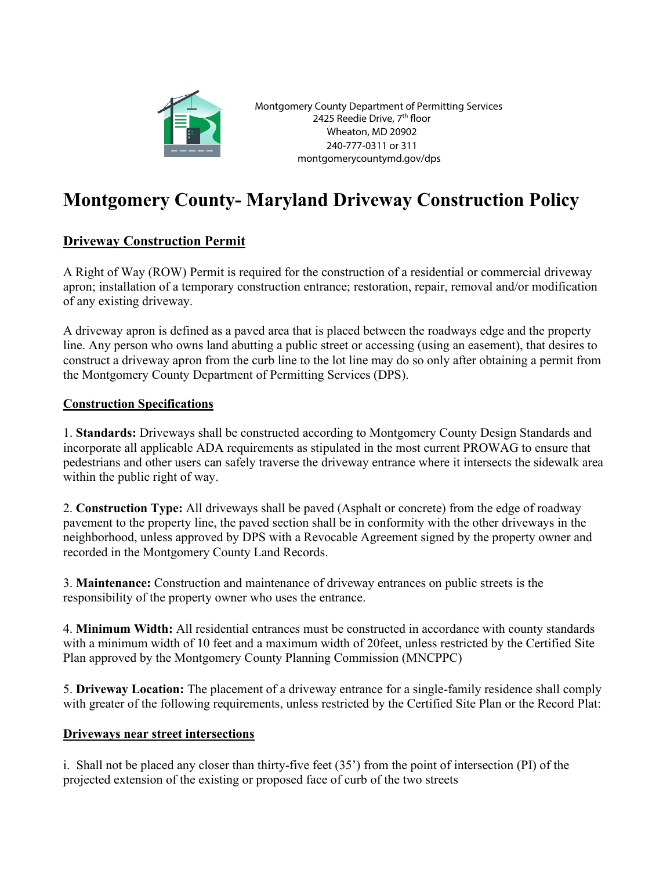

Montgomery County Department of Permitting Services 2425 Reedie Drive, 7th floor Wheaton, MD 20902 240-777-0311 or 311 montgomerycountymd.gov/dps

## **Montgomery County- Maryland Driveway Construction Policy**

## **Driveway Construction Permit**

A Right of Way (ROW) Permit is required for the construction of a residential or commercial driveway apron; installation of a temporary construction entrance; restoration, repair, removal and/or modification of any existing driveway.

A driveway apron is defined as a paved area that is placed between the roadways edge and the property line. Any person who owns land abutting a public street or accessing (using an easement), that desires to construct a driveway apron from the curb line to the lot line may do so only after obtaining a permit from the Montgomery County Department of Permitting Services (DPS).

## **Construction Specifications**

1. **Standards:** Driveways shall be constructed according to Montgomery County Design Standards and incorporate all applicable ADA requirements as stipulated in the most current PROWAG to ensure that pedestrians and other users can safely traverse the driveway entrance where it intersects the sidewalk area within the public right of way.

2. **Construction Type:** All driveways shall be paved (Asphalt or concrete) from the edge of roadway pavement to the property line, the paved section shall be in conformity with the other driveways in the neighborhood, unless approved by DPS with a Revocable Agreement signed by the property owner and recorded in the Montgomery County Land Records.

3. **Maintenance:** Construction and maintenance of driveway entrances on public streets is the responsibility of the property owner who uses the entrance.

4. **Minimum Width:** All residential entrances must be constructed in accordance with county standards with a minimum width of 10 feet and a maximum width of 20feet, unless restricted by the Certified Site Plan approved by the Montgomery County Planning Commission (MNCPPC)

5. **Driveway Location:** The placement of a driveway entrance for a single-family residence shall comply with greater of the following requirements, unless restricted by the Certified Site Plan or the Record Plat:

## **Driveways near street intersections**

i. Shall not be placed any closer than thirty-five feet (35') from the point of intersection (PI) of the projected extension of the existing or proposed face of curb of the two streets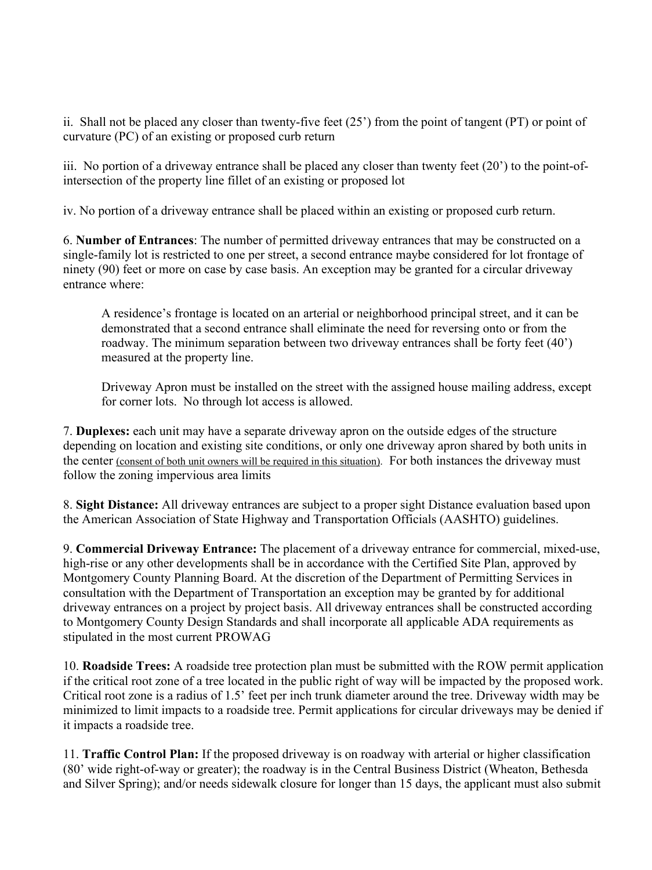ii. Shall not be placed any closer than twenty-five feet (25') from the point of tangent (PT) or point of curvature (PC) of an existing or proposed curb return

iii. No portion of a driveway entrance shall be placed any closer than twenty feet (20') to the point-ofintersection of the property line fillet of an existing or proposed lot

iv. No portion of a driveway entrance shall be placed within an existing or proposed curb return.

6. **Number of Entrances**: The number of permitted driveway entrances that may be constructed on a single-family lot is restricted to one per street, a second entrance maybe considered for lot frontage of ninety (90) feet or more on case by case basis. An exception may be granted for a circular driveway entrance where:

A residence's frontage is located on an arterial or neighborhood principal street, and it can be demonstrated that a second entrance shall eliminate the need for reversing onto or from the roadway. The minimum separation between two driveway entrances shall be forty feet (40') measured at the property line.

Driveway Apron must be installed on the street with the assigned house mailing address, except for corner lots. No through lot access is allowed.

7. **Duplexes:** each unit may have a separate driveway apron on the outside edges of the structure depending on location and existing site conditions, or only one driveway apron shared by both units in the center (consent of both unit owners will be required in this situation). For both instances the driveway must follow the zoning impervious area limits

8. **Sight Distance:** All driveway entrances are subject to a proper sight Distance evaluation based upon the American Association of State Highway and Transportation Officials (AASHTO) guidelines.

9. **Commercial Driveway Entrance:** The placement of a driveway entrance for commercial, mixed-use, high-rise or any other developments shall be in accordance with the Certified Site Plan, approved by Montgomery County Planning Board. At the discretion of the Department of Permitting Services in consultation with the Department of Transportation an exception may be granted by for additional driveway entrances on a project by project basis. All driveway entrances shall be constructed according to Montgomery County Design Standards and shall incorporate all applicable ADA requirements as stipulated in the most current PROWAG

10. **Roadside Trees:** A roadside tree protection plan must be submitted with the ROW permit application if the critical root zone of a tree located in the public right of way will be impacted by the proposed work. Critical root zone is a radius of 1.5' feet per inch trunk diameter around the tree. Driveway width may be minimized to limit impacts to a roadside tree. Permit applications for circular driveways may be denied if it impacts a roadside tree.

11. **Traffic Control Plan:** If the proposed driveway is on roadway with arterial or higher classification (80' wide right-of-way or greater); the roadway is in the Central Business District (Wheaton, Bethesda and Silver Spring); and/or needs sidewalk closure for longer than 15 days, the applicant must also submit